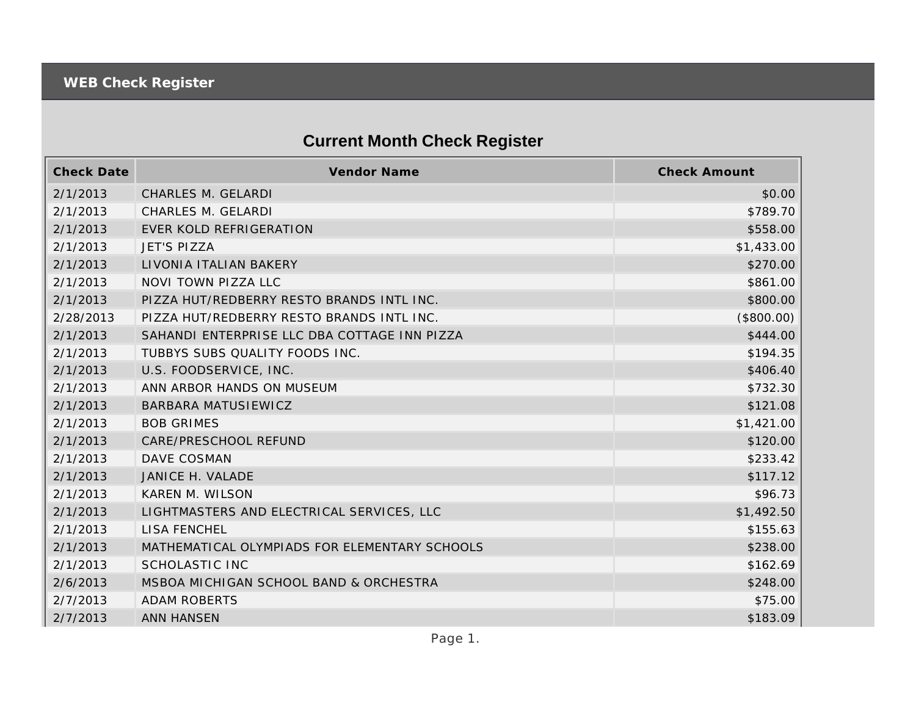## **Current Month Check Register**

| <b>Check Date</b> | <b>Vendor Name</b>                            | <b>Check Amount</b> |
|-------------------|-----------------------------------------------|---------------------|
| 2/1/2013          | <b>CHARLES M. GELARDI</b>                     | \$0.00              |
| 2/1/2013          | CHARLES M. GELARDI                            | \$789.70            |
| 2/1/2013          | EVER KOLD REFRIGERATION                       | \$558.00            |
| 2/1/2013          | <b>JET'S PIZZA</b>                            | \$1,433.00          |
| 2/1/2013          | LIVONIA ITALIAN BAKERY                        | \$270.00            |
| 2/1/2013          | NOVI TOWN PIZZA LLC                           | \$861.00            |
| 2/1/2013          | PIZZA HUT/REDBERRY RESTO BRANDS INTL INC.     | \$800.00            |
| 2/28/2013         | PIZZA HUT/REDBERRY RESTO BRANDS INTL INC.     | (\$800.00)          |
| 2/1/2013          | SAHANDI ENTERPRISE LLC DBA COTTAGE INN PIZZA  | \$444.00            |
| 2/1/2013          | TUBBYS SUBS QUALITY FOODS INC.                | \$194.35            |
| 2/1/2013          | U.S. FOODSERVICE, INC.                        | \$406.40            |
| 2/1/2013          | ANN ARBOR HANDS ON MUSEUM                     | \$732.30            |
| 2/1/2013          | <b>BARBARA MATUSIEWICZ</b>                    | \$121.08            |
| 2/1/2013          | <b>BOB GRIMES</b>                             | \$1,421.00          |
| 2/1/2013          | CARE/PRESCHOOL REFUND                         | \$120.00            |
| 2/1/2013          | DAVE COSMAN                                   | \$233.42            |
| 2/1/2013          | JANICE H. VALADE                              | \$117.12            |
| 2/1/2013          | KAREN M. WILSON                               | \$96.73             |
| 2/1/2013          | LIGHTMASTERS AND ELECTRICAL SERVICES, LLC     | \$1,492.50          |
| 2/1/2013          | <b>LISA FENCHEL</b>                           | \$155.63            |
| 2/1/2013          | MATHEMATICAL OLYMPIADS FOR ELEMENTARY SCHOOLS | \$238.00            |
| 2/1/2013          | <b>SCHOLASTIC INC</b>                         | \$162.69            |
| 2/6/2013          | MSBOA MICHIGAN SCHOOL BAND & ORCHESTRA        | \$248.00            |
| 2/7/2013          | <b>ADAM ROBERTS</b>                           | \$75.00             |
| 2/7/2013          | <b>ANN HANSEN</b>                             | \$183.09            |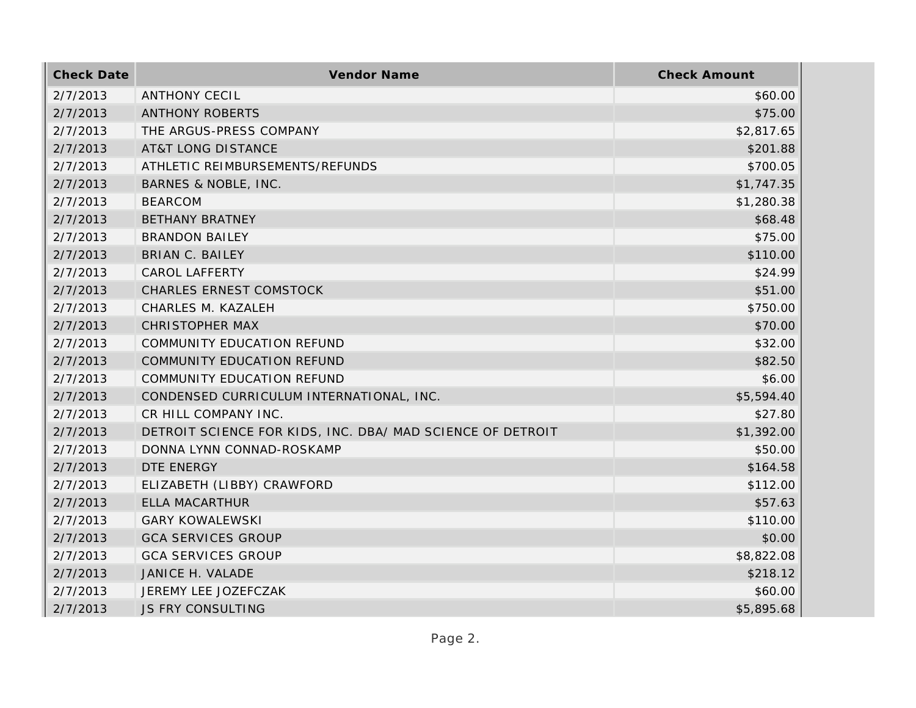| <b>Check Date</b> | Vendor Name                                                | <b>Check Amount</b> |
|-------------------|------------------------------------------------------------|---------------------|
| 2/7/2013          | <b>ANTHONY CECIL</b>                                       | \$60.00             |
| 2/7/2013          | <b>ANTHONY ROBERTS</b>                                     | \$75.00             |
| 2/7/2013          | THE ARGUS-PRESS COMPANY                                    | \$2,817.65          |
| 2/7/2013          | <b>AT&amp;T LONG DISTANCE</b>                              | \$201.88            |
| 2/7/2013          | ATHLETIC REIMBURSEMENTS/REFUNDS                            | \$700.05            |
| 2/7/2013          | BARNES & NOBLE, INC.                                       | \$1,747.35          |
| 2/7/2013          | <b>BEARCOM</b>                                             | \$1,280.38          |
| 2/7/2013          | <b>BETHANY BRATNEY</b>                                     | \$68.48             |
| 2/7/2013          | <b>BRANDON BAILEY</b>                                      | \$75.00             |
| 2/7/2013          | <b>BRIAN C. BAILEY</b>                                     | \$110.00            |
| 2/7/2013          | <b>CAROL LAFFERTY</b>                                      | \$24.99             |
| 2/7/2013          | CHARLES ERNEST COMSTOCK                                    | \$51.00             |
| 2/7/2013          | CHARLES M. KAZALEH                                         | \$750.00            |
| 2/7/2013          | <b>CHRISTOPHER MAX</b>                                     | \$70.00             |
| 2/7/2013          | <b>COMMUNITY EDUCATION REFUND</b>                          | \$32.00             |
| 2/7/2013          | COMMUNITY EDUCATION REFUND                                 | \$82.50             |
| 2/7/2013          | COMMUNITY EDUCATION REFUND                                 | \$6.00              |
| 2/7/2013          | CONDENSED CURRICULUM INTERNATIONAL, INC.                   | \$5,594.40          |
| 2/7/2013          | CR HILL COMPANY INC.                                       | \$27.80             |
| 2/7/2013          | DETROIT SCIENCE FOR KIDS, INC. DBA/ MAD SCIENCE OF DETROIT | \$1,392.00          |
| 2/7/2013          | DONNA LYNN CONNAD-ROSKAMP                                  | \$50.00             |
| 2/7/2013          | DTE ENERGY                                                 | \$164.58            |
| 2/7/2013          | ELIZABETH (LIBBY) CRAWFORD                                 | \$112.00            |
| 2/7/2013          | <b>ELLA MACARTHUR</b>                                      | \$57.63             |
| 2/7/2013          | <b>GARY KOWALEWSKI</b>                                     | \$110.00            |
| 2/7/2013          | <b>GCA SERVICES GROUP</b>                                  | \$0.00              |
| 2/7/2013          | <b>GCA SERVICES GROUP</b>                                  | \$8,822.08          |
| 2/7/2013          | JANICE H. VALADE                                           | \$218.12            |
| 2/7/2013          | JEREMY LEE JOZEFCZAK                                       | \$60.00             |
| 2/7/2013          | <b>JS FRY CONSULTING</b>                                   | \$5,895.68          |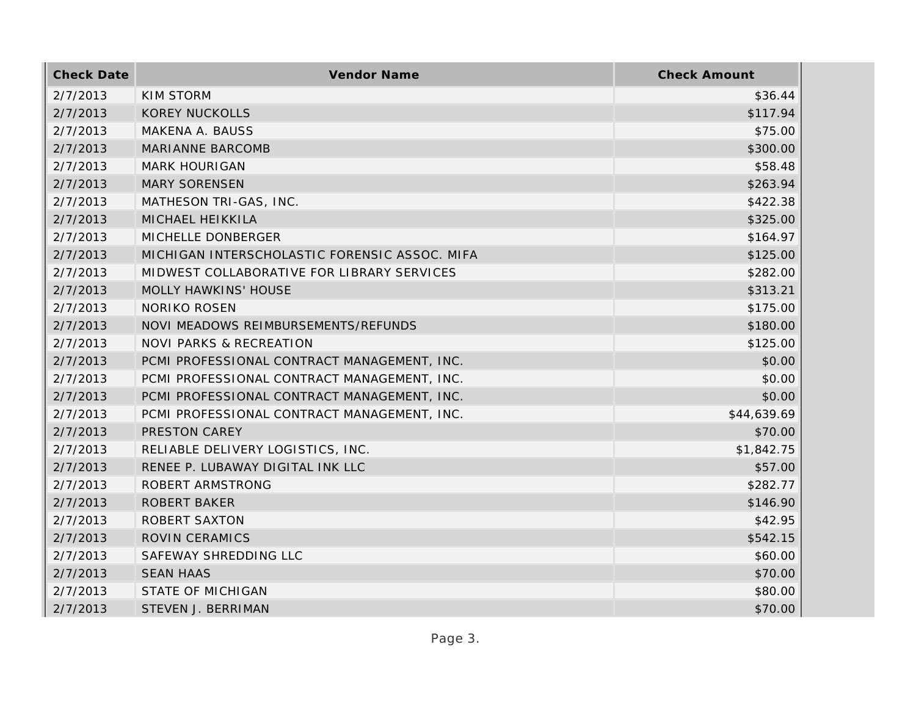| <b>Check Date</b> | <b>Vendor Name</b>                            | <b>Check Amount</b> |
|-------------------|-----------------------------------------------|---------------------|
| 2/7/2013          | <b>KIM STORM</b>                              | \$36.44             |
| 2/7/2013          | <b>KOREY NUCKOLLS</b>                         | \$117.94            |
| 2/7/2013          | MAKENA A. BAUSS                               | \$75.00             |
| 2/7/2013          | MARIANNE BARCOMB                              | \$300.00            |
| 2/7/2013          | <b>MARK HOURIGAN</b>                          | \$58.48             |
| 2/7/2013          | <b>MARY SORENSEN</b>                          | \$263.94            |
| 2/7/2013          | MATHESON TRI-GAS, INC.                        | \$422.38            |
| 2/7/2013          | MICHAEL HEIKKILA                              | \$325.00            |
| 2/7/2013          | MICHELLE DONBERGER                            | \$164.97            |
| 2/7/2013          | MICHIGAN INTERSCHOLASTIC FORENSIC ASSOC. MIFA | \$125.00            |
| 2/7/2013          | MIDWEST COLLABORATIVE FOR LIBRARY SERVICES    | \$282.00            |
| 2/7/2013          | MOLLY HAWKINS' HOUSE                          | \$313.21            |
| 2/7/2013          | <b>NORIKO ROSEN</b>                           | \$175.00            |
| 2/7/2013          | NOVI MEADOWS REIMBURSEMENTS/REFUNDS           | \$180.00            |
| 2/7/2013          | <b>NOVI PARKS &amp; RECREATION</b>            | \$125.00            |
| 2/7/2013          | PCMI PROFESSIONAL CONTRACT MANAGEMENT, INC.   | \$0.00              |
| 2/7/2013          | PCMI PROFESSIONAL CONTRACT MANAGEMENT, INC.   | \$0.00              |
| 2/7/2013          | PCMI PROFESSIONAL CONTRACT MANAGEMENT, INC.   | \$0.00              |
| 2/7/2013          | PCMI PROFESSIONAL CONTRACT MANAGEMENT, INC.   | \$44,639.69         |
| 2/7/2013          | PRESTON CAREY                                 | \$70.00             |
| 2/7/2013          | RELIABLE DELIVERY LOGISTICS, INC.             | \$1,842.75          |
| 2/7/2013          | RENEE P. LUBAWAY DIGITAL INK LLC              | \$57.00             |
| 2/7/2013          | ROBERT ARMSTRONG                              | \$282.77            |
| 2/7/2013          | <b>ROBERT BAKER</b>                           | \$146.90            |
| 2/7/2013          | ROBERT SAXTON                                 | \$42.95             |
| 2/7/2013          | ROVIN CERAMICS                                | \$542.15            |
| 2/7/2013          | SAFEWAY SHREDDING LLC                         | \$60.00             |
| 2/7/2013          | <b>SEAN HAAS</b>                              | \$70.00             |
| 2/7/2013          | <b>STATE OF MICHIGAN</b>                      | \$80.00             |
| 2/7/2013          | STEVEN J. BERRIMAN                            | \$70.00             |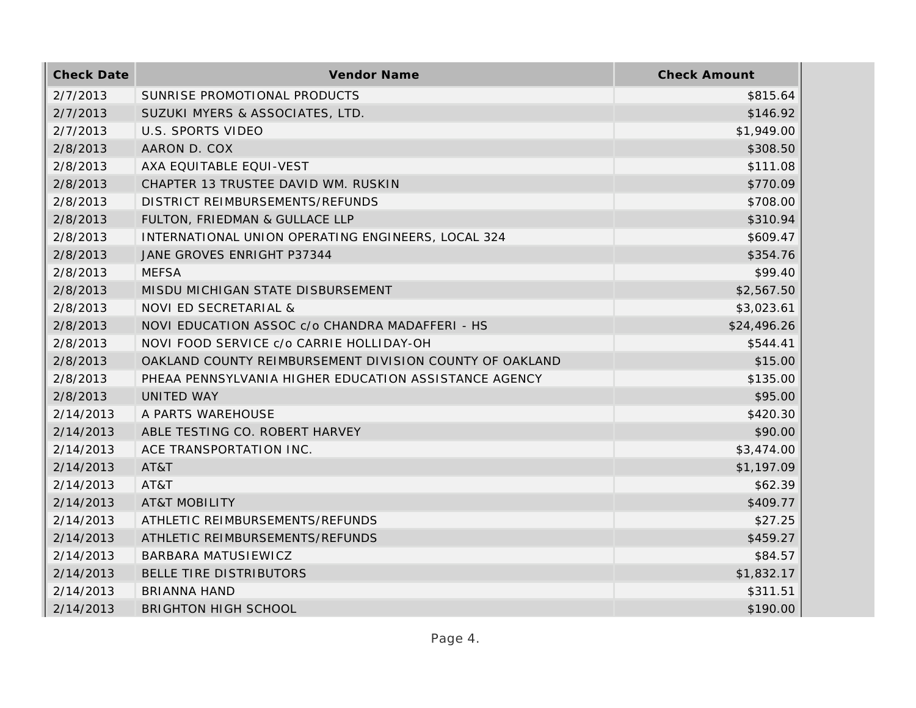| <b>Check Date</b> | Vendor Name                                             | <b>Check Amount</b> |
|-------------------|---------------------------------------------------------|---------------------|
| 2/7/2013          | SUNRISE PROMOTIONAL PRODUCTS                            | \$815.64            |
| 2/7/2013          | SUZUKI MYERS & ASSOCIATES, LTD.                         | \$146.92            |
| 2/7/2013          | <b>U.S. SPORTS VIDEO</b>                                | \$1,949.00          |
| 2/8/2013          | AARON D. COX                                            | \$308.50            |
| 2/8/2013          | AXA EQUITABLE EQUI-VEST                                 | \$111.08            |
| 2/8/2013          | CHAPTER 13 TRUSTEE DAVID WM. RUSKIN                     | \$770.09            |
| 2/8/2013          | DISTRICT REIMBURSEMENTS/REFUNDS                         | \$708.00            |
| 2/8/2013          | FULTON, FRIEDMAN & GULLACE LLP                          | \$310.94            |
| 2/8/2013          | INTERNATIONAL UNION OPERATING ENGINEERS, LOCAL 324      | \$609.47            |
| 2/8/2013          | JANE GROVES ENRIGHT P37344                              | \$354.76            |
| 2/8/2013          | <b>MEFSA</b>                                            | \$99.40             |
| 2/8/2013          | MISDU MICHIGAN STATE DISBURSEMENT                       | \$2,567.50          |
| 2/8/2013          | NOVI ED SECRETARIAL &                                   | \$3,023.61          |
| 2/8/2013          | NOVI EDUCATION ASSOC c/o CHANDRA MADAFFERI - HS         | \$24,496.26         |
| 2/8/2013          | NOVI FOOD SERVICE c/o CARRIE HOLLIDAY-OH                | \$544.41            |
| 2/8/2013          | OAKLAND COUNTY REIMBURSEMENT DIVISION COUNTY OF OAKLAND | \$15.00             |
| 2/8/2013          | PHEAA PENNSYLVANIA HIGHER EDUCATION ASSISTANCE AGENCY   | \$135.00            |
| 2/8/2013          | <b>UNITED WAY</b>                                       | \$95.00             |
| 2/14/2013         | A PARTS WAREHOUSE                                       | \$420.30            |
| 2/14/2013         | ABLE TESTING CO. ROBERT HARVEY                          | \$90.00             |
| 2/14/2013         | ACE TRANSPORTATION INC.                                 | \$3,474.00          |
| 2/14/2013         | AT&T                                                    | \$1,197.09          |
| 2/14/2013         | AT&T                                                    | \$62.39             |
| 2/14/2013         | <b>AT&amp;T MOBILITY</b>                                | \$409.77            |
| 2/14/2013         | ATHLETIC REIMBURSEMENTS/REFUNDS                         | \$27.25             |
| 2/14/2013         | ATHLETIC REIMBURSEMENTS/REFUNDS                         | \$459.27            |
| 2/14/2013         | BARBARA MATUSIEWICZ                                     | \$84.57             |
| 2/14/2013         | BELLE TIRE DISTRIBUTORS                                 | \$1,832.17          |
| 2/14/2013         | <b>BRIANNA HAND</b>                                     | \$311.51            |
| 2/14/2013         | <b>BRIGHTON HIGH SCHOOL</b>                             | \$190.00            |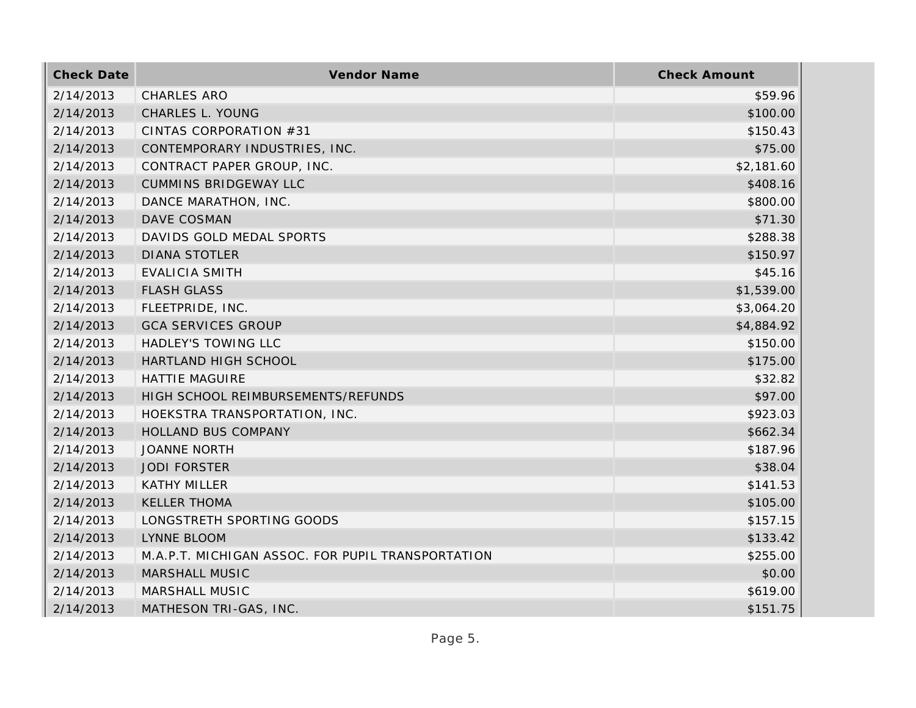| <b>Check Date</b> | Vendor Name                                       | <b>Check Amount</b> |
|-------------------|---------------------------------------------------|---------------------|
| 2/14/2013         | <b>CHARLES ARO</b>                                | \$59.96             |
| 2/14/2013         | CHARLES L. YOUNG                                  | \$100.00            |
| 2/14/2013         | CINTAS CORPORATION #31                            | \$150.43            |
| 2/14/2013         | CONTEMPORARY INDUSTRIES, INC.                     | \$75.00             |
| 2/14/2013         | CONTRACT PAPER GROUP, INC.                        | \$2,181.60          |
| 2/14/2013         | <b>CUMMINS BRIDGEWAY LLC</b>                      | \$408.16            |
| 2/14/2013         | DANCE MARATHON, INC.                              | \$800.00            |
| 2/14/2013         | DAVE COSMAN                                       | \$71.30             |
| 2/14/2013         | DAVIDS GOLD MEDAL SPORTS                          | \$288.38            |
| 2/14/2013         | <b>DIANA STOTLER</b>                              | \$150.97            |
| 2/14/2013         | <b>EVALICIA SMITH</b>                             | \$45.16             |
| 2/14/2013         | <b>FLASH GLASS</b>                                | \$1,539.00          |
| 2/14/2013         | FLEETPRIDE, INC.                                  | \$3,064.20          |
| 2/14/2013         | <b>GCA SERVICES GROUP</b>                         | \$4,884.92          |
| 2/14/2013         | HADLEY'S TOWING LLC                               | \$150.00            |
| 2/14/2013         | HARTLAND HIGH SCHOOL                              | \$175.00            |
| 2/14/2013         | <b>HATTIE MAGUIRE</b>                             | \$32.82             |
| 2/14/2013         | HIGH SCHOOL REIMBURSEMENTS/REFUNDS                | \$97.00             |
| 2/14/2013         | HOEKSTRA TRANSPORTATION, INC.                     | \$923.03            |
| 2/14/2013         | HOLLAND BUS COMPANY                               | \$662.34            |
| 2/14/2013         | <b>JOANNE NORTH</b>                               | \$187.96            |
| 2/14/2013         | <b>JODI FORSTER</b>                               | \$38.04             |
| 2/14/2013         | <b>KATHY MILLER</b>                               | \$141.53            |
| 2/14/2013         | <b>KELLER THOMA</b>                               | \$105.00            |
| 2/14/2013         | LONGSTRETH SPORTING GOODS                         | \$157.15            |
| 2/14/2013         | LYNNE BLOOM                                       | \$133.42            |
| 2/14/2013         | M.A.P.T. MICHIGAN ASSOC. FOR PUPIL TRANSPORTATION | \$255.00            |
| 2/14/2013         | MARSHALL MUSIC                                    | \$0.00              |
| 2/14/2013         | MARSHALL MUSIC                                    | \$619.00            |
| 2/14/2013         | MATHESON TRI-GAS, INC.                            | \$151.75            |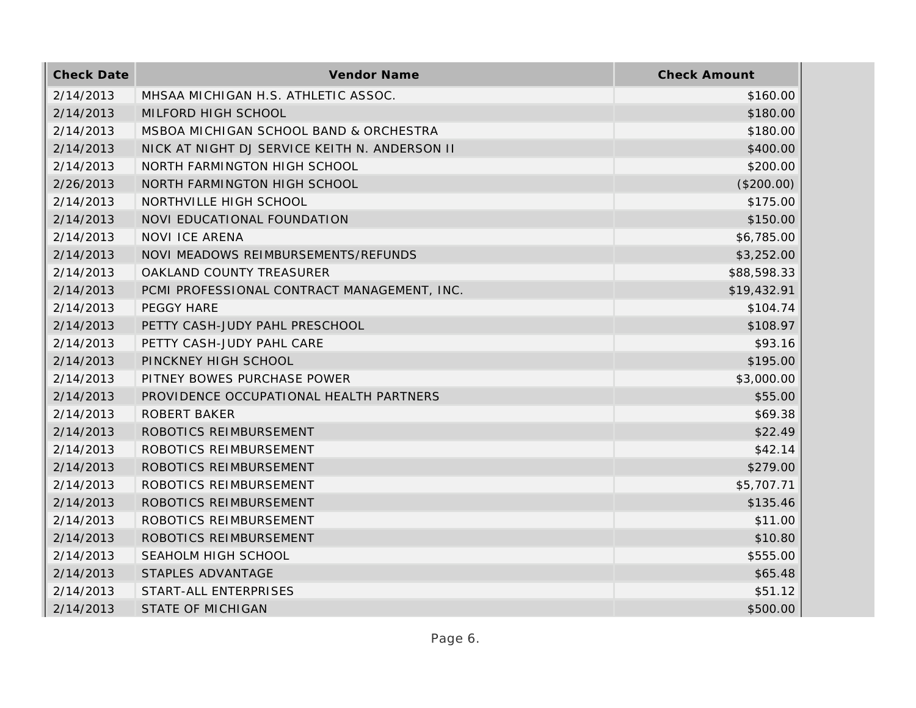| <b>Check Date</b> | Vendor Name                                   | <b>Check Amount</b> |
|-------------------|-----------------------------------------------|---------------------|
| 2/14/2013         | MHSAA MICHIGAN H.S. ATHLETIC ASSOC.           | \$160.00            |
| 2/14/2013         | MILFORD HIGH SCHOOL                           | \$180.00            |
| 2/14/2013         | MSBOA MICHIGAN SCHOOL BAND & ORCHESTRA        | \$180.00            |
| 2/14/2013         | NICK AT NIGHT DJ SERVICE KEITH N. ANDERSON II | \$400.00            |
| 2/14/2013         | NORTH FARMINGTON HIGH SCHOOL                  | \$200.00            |
| 2/26/2013         | NORTH FARMINGTON HIGH SCHOOL                  | (\$200.00)          |
| 2/14/2013         | NORTHVILLE HIGH SCHOOL                        | \$175.00            |
| 2/14/2013         | NOVI EDUCATIONAL FOUNDATION                   | \$150.00            |
| 2/14/2013         | NOVI ICE ARENA                                | \$6,785.00          |
| 2/14/2013         | NOVI MEADOWS REIMBURSEMENTS/REFUNDS           | \$3,252.00          |
| 2/14/2013         | OAKLAND COUNTY TREASURER                      | \$88,598.33         |
| 2/14/2013         | PCMI PROFESSIONAL CONTRACT MANAGEMENT, INC.   | \$19,432.91         |
| 2/14/2013         | PEGGY HARE                                    | \$104.74            |
| 2/14/2013         | PETTY CASH-JUDY PAHL PRESCHOOL                | \$108.97            |
| 2/14/2013         | PETTY CASH-JUDY PAHL CARE                     | \$93.16             |
| 2/14/2013         | PINCKNEY HIGH SCHOOL                          | \$195.00            |
| 2/14/2013         | PITNEY BOWES PURCHASE POWER                   | \$3,000.00          |
| 2/14/2013         | PROVIDENCE OCCUPATIONAL HEALTH PARTNERS       | \$55.00             |
| 2/14/2013         | <b>ROBERT BAKER</b>                           | \$69.38             |
| 2/14/2013         | ROBOTICS REIMBURSEMENT                        | \$22.49             |
| 2/14/2013         | ROBOTICS REIMBURSEMENT                        | \$42.14             |
| 2/14/2013         | ROBOTICS REIMBURSEMENT                        | \$279.00            |
| 2/14/2013         | ROBOTICS REIMBURSEMENT                        | \$5,707.71          |
| 2/14/2013         | ROBOTICS REIMBURSEMENT                        | \$135.46            |
| 2/14/2013         | ROBOTICS REIMBURSEMENT                        | \$11.00             |
| 2/14/2013         | ROBOTICS REIMBURSEMENT                        | \$10.80             |
| 2/14/2013         | SEAHOLM HIGH SCHOOL                           | \$555.00            |
| 2/14/2013         | STAPLES ADVANTAGE                             | \$65.48             |
| 2/14/2013         | START-ALL ENTERPRISES                         | \$51.12             |
| 2/14/2013         | <b>STATE OF MICHIGAN</b>                      | \$500.00            |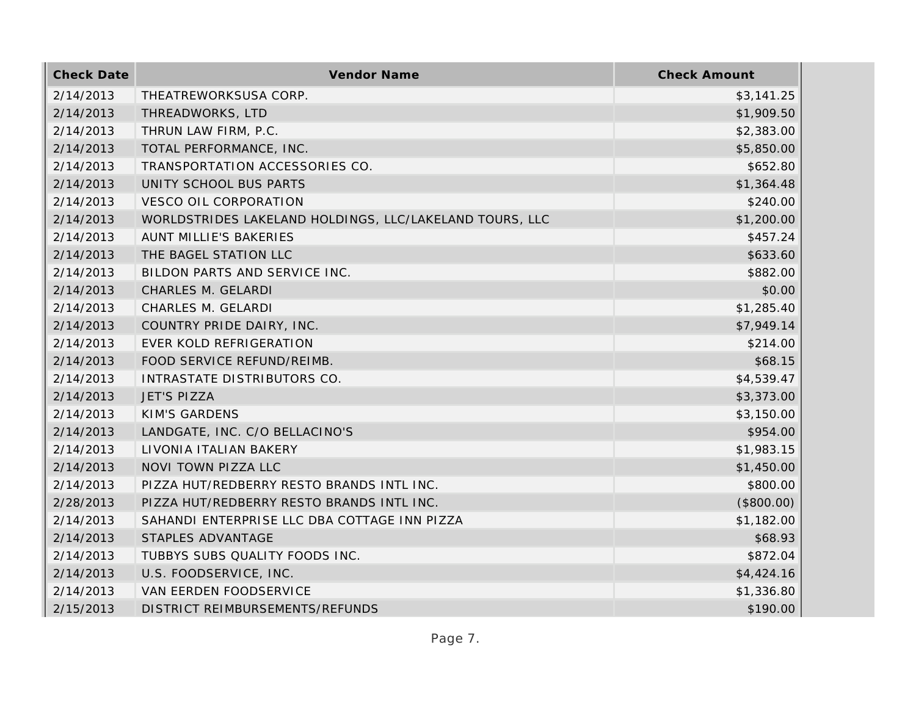| <b>Check Date</b> | Vendor Name                                             | <b>Check Amount</b> |
|-------------------|---------------------------------------------------------|---------------------|
| 2/14/2013         | THEATREWORKSUSA CORP.                                   | \$3,141.25          |
| 2/14/2013         | THREADWORKS, LTD                                        | \$1,909.50          |
| 2/14/2013         | THRUN LAW FIRM, P.C.                                    | \$2,383.00          |
| 2/14/2013         | TOTAL PERFORMANCE, INC.                                 | \$5,850.00          |
| 2/14/2013         | TRANSPORTATION ACCESSORIES CO.                          | \$652.80            |
| 2/14/2013         | UNITY SCHOOL BUS PARTS                                  | \$1,364.48          |
| 2/14/2013         | <b>VESCO OIL CORPORATION</b>                            | \$240.00            |
| 2/14/2013         | WORLDSTRIDES LAKELAND HOLDINGS, LLC/LAKELAND TOURS, LLC | \$1,200.00          |
| 2/14/2013         | AUNT MILLIE'S BAKERIES                                  | \$457.24            |
| 2/14/2013         | THE BAGEL STATION LLC                                   | \$633.60            |
| 2/14/2013         | BILDON PARTS AND SERVICE INC.                           | \$882.00            |
| 2/14/2013         | CHARLES M. GELARDI                                      | \$0.00              |
| 2/14/2013         | CHARLES M. GELARDI                                      | \$1,285.40          |
| 2/14/2013         | COUNTRY PRIDE DAIRY, INC.                               | \$7,949.14          |
| 2/14/2013         | EVER KOLD REFRIGERATION                                 | \$214.00            |
| 2/14/2013         | FOOD SERVICE REFUND/REIMB.                              | \$68.15             |
| 2/14/2013         | INTRASTATE DISTRIBUTORS CO.                             | \$4,539.47          |
| 2/14/2013         | <b>JET'S PIZZA</b>                                      | \$3,373.00          |
| 2/14/2013         | <b>KIM'S GARDENS</b>                                    | \$3,150.00          |
| 2/14/2013         | LANDGATE, INC. C/O BELLACINO'S                          | \$954.00            |
| 2/14/2013         | LIVONIA ITALIAN BAKERY                                  | \$1,983.15          |
| 2/14/2013         | NOVI TOWN PIZZA LLC                                     | \$1,450.00          |
| 2/14/2013         | PIZZA HUT/REDBERRY RESTO BRANDS INTL INC.               | \$800.00            |
| 2/28/2013         | PIZZA HUT/REDBERRY RESTO BRANDS INTL INC.               | (\$800.00)          |
| 2/14/2013         | SAHANDI ENTERPRISE LLC DBA COTTAGE INN PIZZA            | \$1,182.00          |
| 2/14/2013         | STAPLES ADVANTAGE                                       | \$68.93             |
| 2/14/2013         | TUBBYS SUBS QUALITY FOODS INC.                          | \$872.04            |
| 2/14/2013         | U.S. FOODSERVICE, INC.                                  | \$4,424.16          |
| 2/14/2013         | VAN EERDEN FOODSERVICE                                  | \$1,336.80          |
| 2/15/2013         | DISTRICT REIMBURSEMENTS/REFUNDS                         | \$190.00            |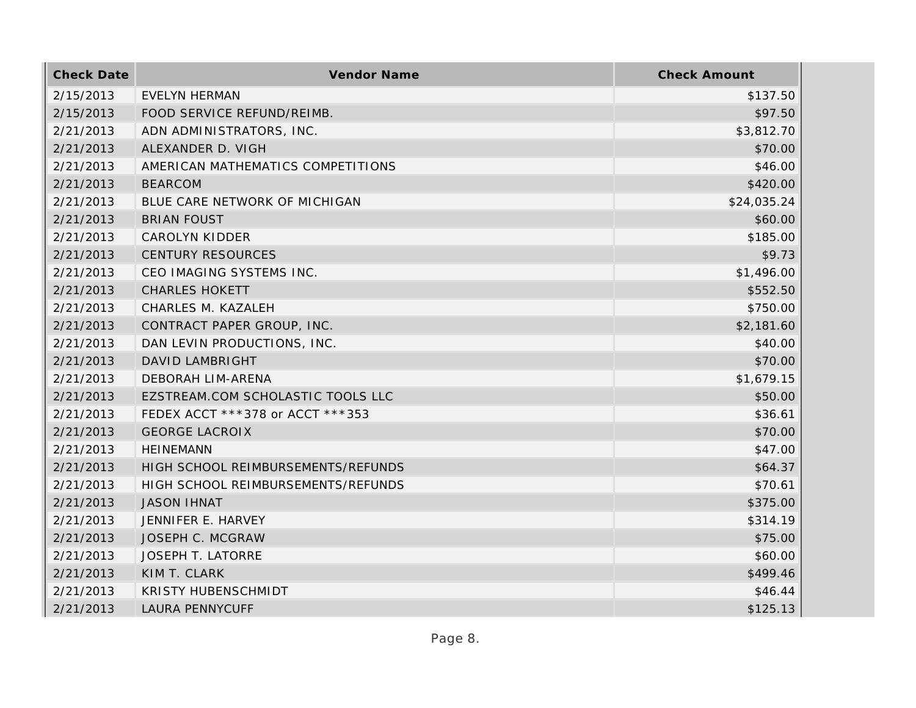| <b>Check Date</b> | Vendor Name                        | <b>Check Amount</b> |
|-------------------|------------------------------------|---------------------|
| 2/15/2013         | <b>EVELYN HERMAN</b>               | \$137.50            |
| 2/15/2013         | FOOD SERVICE REFUND/REIMB.         | \$97.50             |
| 2/21/2013         | ADN ADMINISTRATORS, INC.           | \$3,812.70          |
| 2/21/2013         | ALEXANDER D. VIGH                  | \$70.00             |
| 2/21/2013         | AMERICAN MATHEMATICS COMPETITIONS  | \$46.00             |
| 2/21/2013         | <b>BEARCOM</b>                     | \$420.00            |
| 2/21/2013         | BLUE CARE NETWORK OF MICHIGAN      | \$24,035.24         |
| 2/21/2013         | <b>BRIAN FOUST</b>                 | \$60.00             |
| 2/21/2013         | <b>CAROLYN KIDDER</b>              | \$185.00            |
| 2/21/2013         | <b>CENTURY RESOURCES</b>           | \$9.73              |
| 2/21/2013         | CEO IMAGING SYSTEMS INC.           | \$1,496.00          |
| 2/21/2013         | <b>CHARLES HOKETT</b>              | \$552.50            |
| 2/21/2013         | CHARLES M. KAZALEH                 | \$750.00            |
| 2/21/2013         | CONTRACT PAPER GROUP, INC.         | \$2,181.60          |
| 2/21/2013         | DAN LEVIN PRODUCTIONS, INC.        | \$40.00             |
| 2/21/2013         | DAVID LAMBRIGHT                    | \$70.00             |
| 2/21/2013         | <b>DEBORAH LIM-ARENA</b>           | \$1,679.15          |
| 2/21/2013         | EZSTREAM.COM SCHOLASTIC TOOLS LLC  | \$50.00             |
| 2/21/2013         | FEDEX ACCT ***378 or ACCT ***353   | \$36.61             |
| 2/21/2013         | <b>GEORGE LACROIX</b>              | \$70.00             |
| 2/21/2013         | <b>HEINEMANN</b>                   | \$47.00             |
| 2/21/2013         | HIGH SCHOOL REIMBURSEMENTS/REFUNDS | \$64.37             |
| 2/21/2013         | HIGH SCHOOL REIMBURSEMENTS/REFUNDS | \$70.61             |
| 2/21/2013         | <b>JASON IHNAT</b>                 | \$375.00            |
| 2/21/2013         | JENNIFER E. HARVEY                 | \$314.19            |
| 2/21/2013         | JOSEPH C. MCGRAW                   | \$75.00             |
| 2/21/2013         | JOSEPH T. LATORRE                  | \$60.00             |
| 2/21/2013         | KIM T. CLARK                       | \$499.46            |
| 2/21/2013         | KRISTY HUBENSCHMIDT                | \$46.44             |
| 2/21/2013         | <b>LAURA PENNYCUFF</b>             | \$125.13            |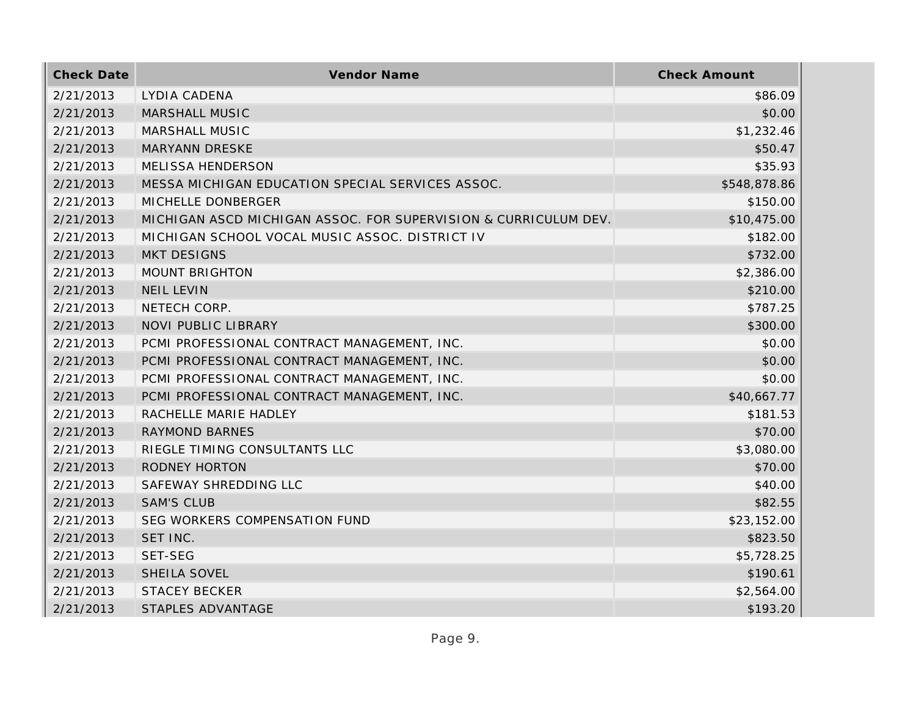| <b>Check Date</b> | <b>Vendor Name</b>                                              | <b>Check Amount</b> |
|-------------------|-----------------------------------------------------------------|---------------------|
| 2/21/2013         | LYDIA CADENA                                                    | \$86.09             |
| 2/21/2013         | MARSHALL MUSIC                                                  | \$0.00              |
| 2/21/2013         | MARSHALL MUSIC                                                  | \$1,232.46          |
| 2/21/2013         | <b>MARYANN DRESKE</b>                                           | \$50.47             |
| 2/21/2013         | MELISSA HENDERSON                                               | \$35.93             |
| 2/21/2013         | MESSA MICHIGAN EDUCATION SPECIAL SERVICES ASSOC.                | \$548,878.86        |
| 2/21/2013         | MICHELLE DONBERGER                                              | \$150.00            |
| 2/21/2013         | MICHIGAN ASCD MICHIGAN ASSOC. FOR SUPERVISION & CURRICULUM DEV. | \$10,475.00         |
| 2/21/2013         | MICHIGAN SCHOOL VOCAL MUSIC ASSOC. DISTRICT IV                  | \$182.00            |
| 2/21/2013         | <b>MKT DESIGNS</b>                                              | \$732.00            |
| 2/21/2013         | <b>MOUNT BRIGHTON</b>                                           | \$2,386.00          |
| 2/21/2013         | <b>NEIL LEVIN</b>                                               | \$210.00            |
| 2/21/2013         | NETECH CORP.                                                    | \$787.25            |
| 2/21/2013         | NOVI PUBLIC LIBRARY                                             | \$300.00            |
| 2/21/2013         | PCMI PROFESSIONAL CONTRACT MANAGEMENT, INC.                     | \$0.00              |
| 2/21/2013         | PCMI PROFESSIONAL CONTRACT MANAGEMENT, INC.                     | \$0.00              |
| 2/21/2013         | PCMI PROFESSIONAL CONTRACT MANAGEMENT, INC.                     | \$0.00              |
| 2/21/2013         | PCMI PROFESSIONAL CONTRACT MANAGEMENT, INC.                     | \$40,667.77         |
| 2/21/2013         | RACHELLE MARIE HADLEY                                           | \$181.53            |
| 2/21/2013         | <b>RAYMOND BARNES</b>                                           | \$70.00             |
| 2/21/2013         | RIEGLE TIMING CONSULTANTS LLC                                   | \$3,080.00          |
| 2/21/2013         | RODNEY HORTON                                                   | \$70.00             |
| 2/21/2013         | SAFEWAY SHREDDING LLC                                           | \$40.00             |
| 2/21/2013         | <b>SAM'S CLUB</b>                                               | \$82.55             |
| 2/21/2013         | SEG WORKERS COMPENSATION FUND                                   | \$23,152.00         |
| 2/21/2013         | SET INC.                                                        | \$823.50            |
| 2/21/2013         | <b>SET-SEG</b>                                                  | \$5,728.25          |
| 2/21/2013         | SHEILA SOVEL                                                    | \$190.61            |
| 2/21/2013         | <b>STACEY BECKER</b>                                            | \$2,564.00          |
| 2/21/2013         | STAPLES ADVANTAGE                                               | \$193.20            |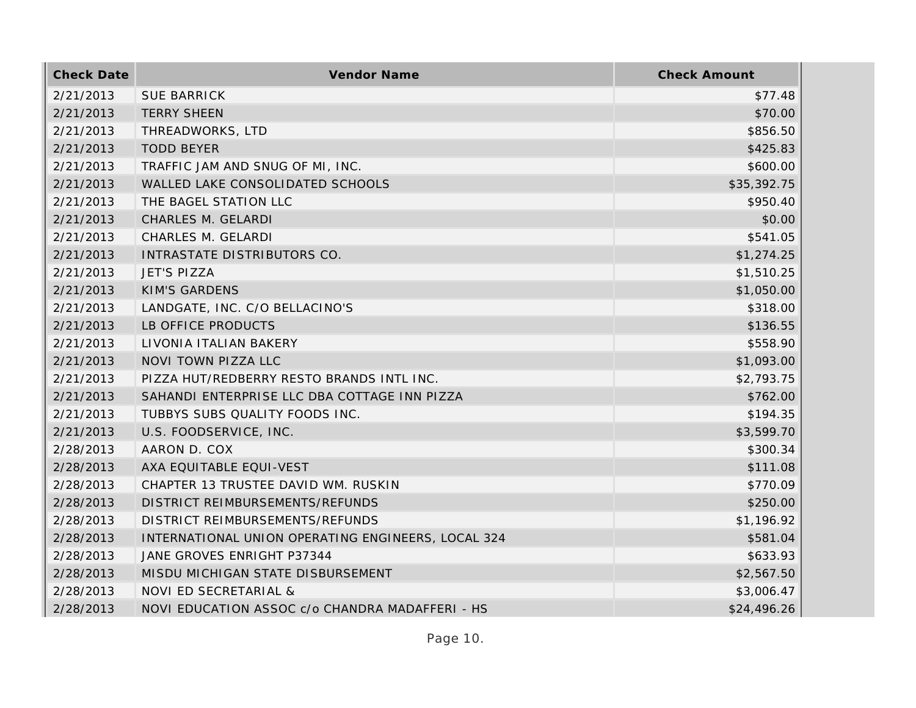| <b>Check Date</b> | Vendor Name                                        | <b>Check Amount</b> |
|-------------------|----------------------------------------------------|---------------------|
| 2/21/2013         | <b>SUE BARRICK</b>                                 | \$77.48             |
| 2/21/2013         | <b>TERRY SHEEN</b>                                 | \$70.00             |
| 2/21/2013         | THREADWORKS, LTD                                   | \$856.50            |
| 2/21/2013         | <b>TODD BEYER</b>                                  | \$425.83            |
| 2/21/2013         | TRAFFIC JAM AND SNUG OF MI, INC.                   | \$600.00            |
| 2/21/2013         | WALLED LAKE CONSOLIDATED SCHOOLS                   | \$35,392.75         |
| 2/21/2013         | THE BAGEL STATION LLC                              | \$950.40            |
| 2/21/2013         | CHARLES M. GELARDI                                 | \$0.00              |
| 2/21/2013         | CHARLES M. GELARDI                                 | \$541.05            |
| 2/21/2013         | INTRASTATE DISTRIBUTORS CO.                        | \$1,274.25          |
| 2/21/2013         | JET'S PIZZA                                        | \$1,510.25          |
| 2/21/2013         | <b>KIM'S GARDENS</b>                               | \$1,050.00          |
| 2/21/2013         | LANDGATE, INC. C/O BELLACINO'S                     | \$318.00            |
| 2/21/2013         | LB OFFICE PRODUCTS                                 | \$136.55            |
| 2/21/2013         | LIVONIA ITALIAN BAKERY                             | \$558.90            |
| 2/21/2013         | NOVI TOWN PIZZA LLC                                | \$1,093.00          |
| 2/21/2013         | PIZZA HUT/REDBERRY RESTO BRANDS INTL INC.          | \$2,793.75          |
| 2/21/2013         | SAHANDI ENTERPRISE LLC DBA COTTAGE INN PIZZA       | \$762.00            |
| 2/21/2013         | TUBBYS SUBS QUALITY FOODS INC.                     | \$194.35            |
| 2/21/2013         | U.S. FOODSERVICE, INC.                             | \$3,599.70          |
| 2/28/2013         | AARON D. COX                                       | \$300.34            |
| 2/28/2013         | AXA EQUITABLE EQUI-VEST                            | \$111.08            |
| 2/28/2013         | CHAPTER 13 TRUSTEE DAVID WM. RUSKIN                | \$770.09            |
| 2/28/2013         | DISTRICT REIMBURSEMENTS/REFUNDS                    | \$250.00            |
| 2/28/2013         | DISTRICT REIMBURSEMENTS/REFUNDS                    | \$1,196.92          |
| 2/28/2013         | INTERNATIONAL UNION OPERATING ENGINEERS, LOCAL 324 | \$581.04            |
| 2/28/2013         | JANE GROVES ENRIGHT P37344                         | \$633.93            |
| 2/28/2013         | MISDU MICHIGAN STATE DISBURSEMENT                  | \$2,567.50          |
| 2/28/2013         | NOVI ED SECRETARIAL &                              | \$3,006.47          |
| 2/28/2013         | NOVI EDUCATION ASSOC c/o CHANDRA MADAFFERI - HS    | \$24,496.26         |